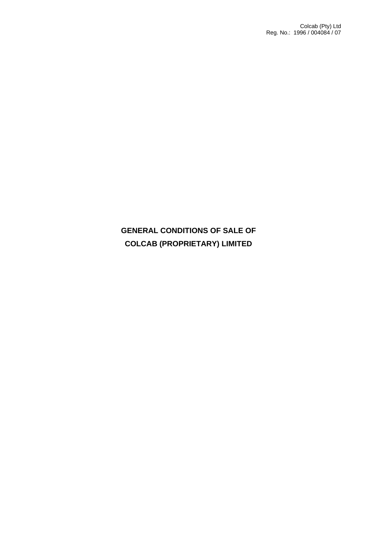# **GENERAL CONDITIONS OF SALE OF COLCAB (PROPRIETARY) LIMITED**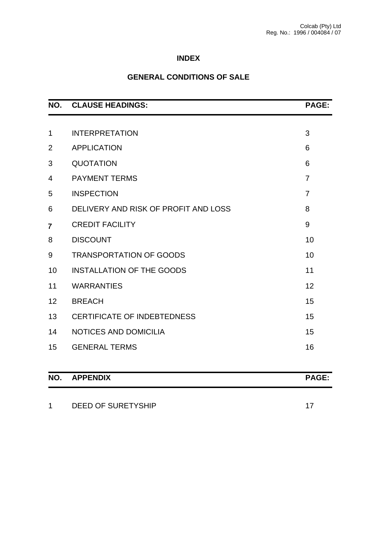# **INDEX**

# **GENERAL CONDITIONS OF SALE**

| NO.            | <b>CLAUSE HEADINGS:</b>              | <b>PAGE:</b>   |
|----------------|--------------------------------------|----------------|
|                |                                      |                |
| $\mathbf{1}$   | <b>INTERPRETATION</b>                | 3              |
| $\overline{2}$ | <b>APPLICATION</b>                   | 6              |
| 3              | <b>QUOTATION</b>                     | 6              |
| 4              | <b>PAYMENT TERMS</b>                 | $\overline{7}$ |
| 5              | <b>INSPECTION</b>                    | $\overline{7}$ |
| 6              | DELIVERY AND RISK OF PROFIT AND LOSS | 8              |
| $\overline{7}$ | <b>CREDIT FACILITY</b>               | 9              |
| 8              | <b>DISCOUNT</b>                      | 10             |
| 9              | <b>TRANSPORTATION OF GOODS</b>       | 10             |
| 10             | <b>INSTALLATION OF THE GOODS</b>     | 11             |
| 11             | <b>WARRANTIES</b>                    | 12             |
| 12             | <b>BREACH</b>                        | 15             |
| 13             | <b>CERTIFICATE OF INDEBTEDNESS</b>   | 15             |
| 14             | NOTICES AND DOMICILIA                | 15             |
| 15             | <b>GENERAL TERMS</b>                 | 16             |
| NO.            | <b>APPENDIX</b>                      | PAGE:          |

| DEED OF SURETYSHIP |  |
|--------------------|--|
|                    |  |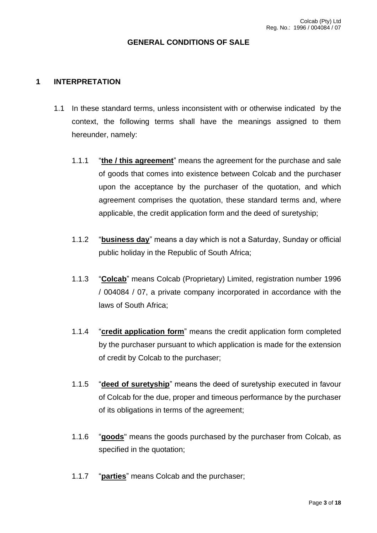#### **GENERAL CONDITIONS OF SALE**

#### **1 INTERPRETATION**

- 1.1 In these standard terms, unless inconsistent with or otherwise indicated by the context, the following terms shall have the meanings assigned to them hereunder, namely:
	- 1.1.1 "**the / this agreement**" means the agreement for the purchase and sale of goods that comes into existence between Colcab and the purchaser upon the acceptance by the purchaser of the quotation, and which agreement comprises the quotation, these standard terms and, where applicable, the credit application form and the deed of suretyship;
	- 1.1.2 "**business day**" means a day which is not a Saturday, Sunday or official public holiday in the Republic of South Africa;
	- 1.1.3 "**Colcab**" means Colcab (Proprietary) Limited, registration number 1996 / 004084 / 07, a private company incorporated in accordance with the laws of South Africa;
	- 1.1.4 "**credit application form**" means the credit application form completed by the purchaser pursuant to which application is made for the extension of credit by Colcab to the purchaser;
	- 1.1.5 "**deed of suretyship**" means the deed of suretyship executed in favour of Colcab for the due, proper and timeous performance by the purchaser of its obligations in terms of the agreement;
	- 1.1.6 "**goods**" means the goods purchased by the purchaser from Colcab, as specified in the quotation;
	- 1.1.7 "**parties**" means Colcab and the purchaser;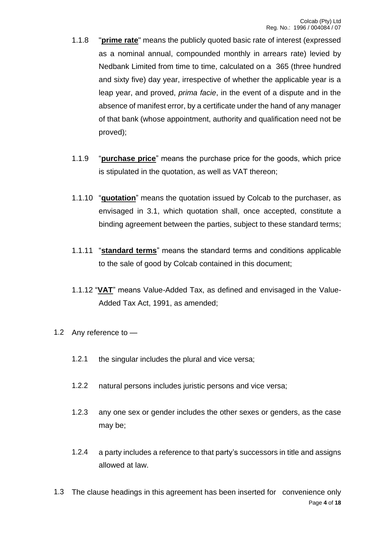- 1.1.8 "**prime rate**" means the publicly quoted basic rate of interest (expressed as a nominal annual, compounded monthly in arrears rate) levied by Nedbank Limited from time to time, calculated on a 365 (three hundred and sixty five) day year, irrespective of whether the applicable year is a leap year, and proved, *prima facie*, in the event of a dispute and in the absence of manifest error, by a certificate under the hand of any manager of that bank (whose appointment, authority and qualification need not be proved);
- 1.1.9 "**purchase price**" means the purchase price for the goods, which price is stipulated in the quotation, as well as VAT thereon;
- 1.1.10 "**quotation**" means the quotation issued by Colcab to the purchaser, as envisaged in 3.1, which quotation shall, once accepted, constitute a binding agreement between the parties, subject to these standard terms;
- 1.1.11 "**standard terms**" means the standard terms and conditions applicable to the sale of good by Colcab contained in this document;
- 1.1.12 "**VAT**" means Value-Added Tax, as defined and envisaged in the Value-Added Tax Act, 1991, as amended;
- 1.2 Any reference to
	- 1.2.1 the singular includes the plural and vice versa;
	- 1.2.2 natural persons includes juristic persons and vice versa;
	- 1.2.3 any one sex or gender includes the other sexes or genders, as the case may be;
	- 1.2.4 a party includes a reference to that party's successors in title and assigns allowed at law.
- Page **4** of **18** 1.3 The clause headings in this agreement has been inserted for convenience only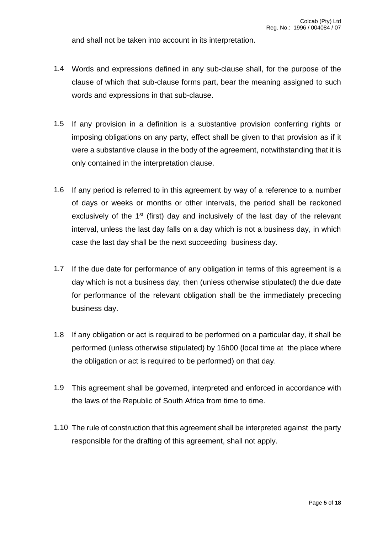and shall not be taken into account in its interpretation.

- 1.4 Words and expressions defined in any sub-clause shall, for the purpose of the clause of which that sub-clause forms part, bear the meaning assigned to such words and expressions in that sub-clause.
- 1.5 If any provision in a definition is a substantive provision conferring rights or imposing obligations on any party, effect shall be given to that provision as if it were a substantive clause in the body of the agreement, notwithstanding that it is only contained in the interpretation clause.
- 1.6 If any period is referred to in this agreement by way of a reference to a number of days or weeks or months or other intervals, the period shall be reckoned exclusively of the  $1<sup>st</sup>$  (first) day and inclusively of the last day of the relevant interval, unless the last day falls on a day which is not a business day, in which case the last day shall be the next succeeding business day.
- 1.7 If the due date for performance of any obligation in terms of this agreement is a day which is not a business day, then (unless otherwise stipulated) the due date for performance of the relevant obligation shall be the immediately preceding business day.
- 1.8 If any obligation or act is required to be performed on a particular day, it shall be performed (unless otherwise stipulated) by 16h00 (local time at the place where the obligation or act is required to be performed) on that day.
- 1.9 This agreement shall be governed, interpreted and enforced in accordance with the laws of the Republic of South Africa from time to time.
- 1.10 The rule of construction that this agreement shall be interpreted against the party responsible for the drafting of this agreement, shall not apply.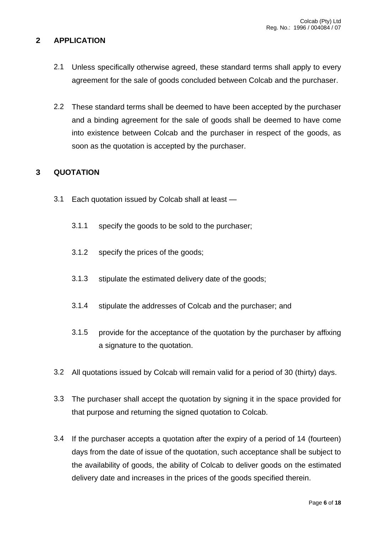#### **2 APPLICATION**

- 2.1 Unless specifically otherwise agreed, these standard terms shall apply to every agreement for the sale of goods concluded between Colcab and the purchaser.
- 2.2 These standard terms shall be deemed to have been accepted by the purchaser and a binding agreement for the sale of goods shall be deemed to have come into existence between Colcab and the purchaser in respect of the goods, as soon as the quotation is accepted by the purchaser.

## **3 QUOTATION**

- 3.1 Each quotation issued by Colcab shall at least
	- 3.1.1 specify the goods to be sold to the purchaser;
	- 3.1.2 specify the prices of the goods;
	- 3.1.3 stipulate the estimated delivery date of the goods;
	- 3.1.4 stipulate the addresses of Colcab and the purchaser; and
	- 3.1.5 provide for the acceptance of the quotation by the purchaser by affixing a signature to the quotation.
- 3.2 All quotations issued by Colcab will remain valid for a period of 30 (thirty) days.
- 3.3 The purchaser shall accept the quotation by signing it in the space provided for that purpose and returning the signed quotation to Colcab.
- 3.4 If the purchaser accepts a quotation after the expiry of a period of 14 (fourteen) days from the date of issue of the quotation, such acceptance shall be subject to the availability of goods, the ability of Colcab to deliver goods on the estimated delivery date and increases in the prices of the goods specified therein.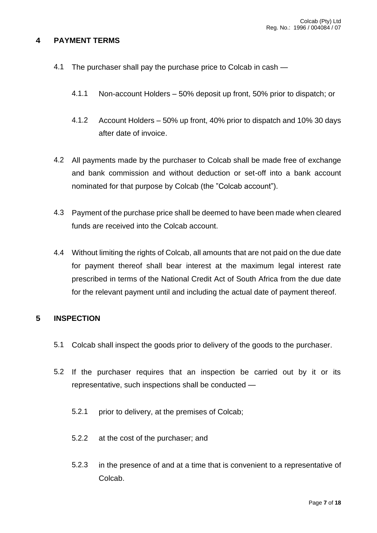#### **4 PAYMENT TERMS**

- 4.1 The purchaser shall pay the purchase price to Colcab in cash
	- 4.1.1 Non-account Holders 50% deposit up front, 50% prior to dispatch; or
	- 4.1.2 Account Holders 50% up front, 40% prior to dispatch and 10% 30 days after date of invoice.
- 4.2 All payments made by the purchaser to Colcab shall be made free of exchange and bank commission and without deduction or set-off into a bank account nominated for that purpose by Colcab (the "Colcab account").
- 4.3 Payment of the purchase price shall be deemed to have been made when cleared funds are received into the Colcab account.
- 4.4 Without limiting the rights of Colcab, all amounts that are not paid on the due date for payment thereof shall bear interest at the maximum legal interest rate prescribed in terms of the National Credit Act of South Africa from the due date for the relevant payment until and including the actual date of payment thereof.

# **5 INSPECTION**

- 5.1 Colcab shall inspect the goods prior to delivery of the goods to the purchaser.
- 5.2 If the purchaser requires that an inspection be carried out by it or its representative, such inspections shall be conducted —
	- 5.2.1 prior to delivery, at the premises of Colcab;
	- 5.2.2 at the cost of the purchaser; and
	- 5.2.3 in the presence of and at a time that is convenient to a representative of Colcab.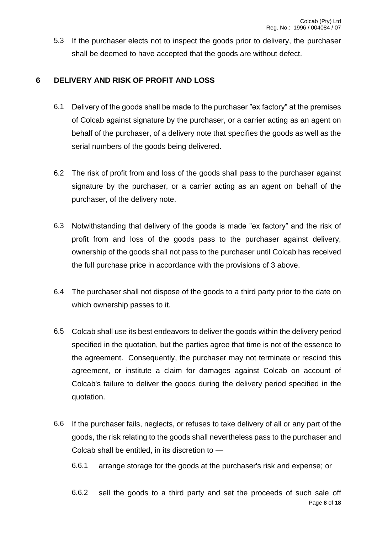5.3 If the purchaser elects not to inspect the goods prior to delivery, the purchaser shall be deemed to have accepted that the goods are without defect.

# **6 DELIVERY AND RISK OF PROFIT AND LOSS**

- 6.1 Delivery of the goods shall be made to the purchaser "ex factory" at the premises of Colcab against signature by the purchaser, or a carrier acting as an agent on behalf of the purchaser, of a delivery note that specifies the goods as well as the serial numbers of the goods being delivered.
- 6.2 The risk of profit from and loss of the goods shall pass to the purchaser against signature by the purchaser, or a carrier acting as an agent on behalf of the purchaser, of the delivery note.
- 6.3 Notwithstanding that delivery of the goods is made "ex factory" and the risk of profit from and loss of the goods pass to the purchaser against delivery, ownership of the goods shall not pass to the purchaser until Colcab has received the full purchase price in accordance with the provisions of 3 above.
- 6.4 The purchaser shall not dispose of the goods to a third party prior to the date on which ownership passes to it.
- 6.5 Colcab shall use its best endeavors to deliver the goods within the delivery period specified in the quotation, but the parties agree that time is not of the essence to the agreement. Consequently, the purchaser may not terminate or rescind this agreement, or institute a claim for damages against Colcab on account of Colcab's failure to deliver the goods during the delivery period specified in the quotation.
- 6.6 If the purchaser fails, neglects, or refuses to take delivery of all or any part of the goods, the risk relating to the goods shall nevertheless pass to the purchaser and Colcab shall be entitled, in its discretion to —
	- 6.6.1 arrange storage for the goods at the purchaser's risk and expense; or
	- Page **8** of **18** 6.6.2 sell the goods to a third party and set the proceeds of such sale off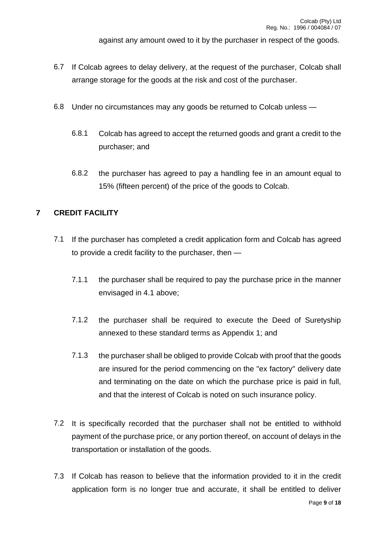against any amount owed to it by the purchaser in respect of the goods.

- 6.7 If Colcab agrees to delay delivery, at the request of the purchaser, Colcab shall arrange storage for the goods at the risk and cost of the purchaser.
- 6.8 Under no circumstances may any goods be returned to Colcab unless
	- 6.8.1 Colcab has agreed to accept the returned goods and grant a credit to the purchaser; and
	- 6.8.2 the purchaser has agreed to pay a handling fee in an amount equal to 15% (fifteen percent) of the price of the goods to Colcab.

## **7 CREDIT FACILITY**

- 7.1 If the purchaser has completed a credit application form and Colcab has agreed to provide a credit facility to the purchaser, then —
	- 7.1.1 the purchaser shall be required to pay the purchase price in the manner envisaged in 4.1 above;
	- 7.1.2 the purchaser shall be required to execute the Deed of Suretyship annexed to these standard terms as Appendix 1; and
	- 7.1.3 the purchaser shall be obliged to provide Colcab with proof that the goods are insured for the period commencing on the "ex factory" delivery date and terminating on the date on which the purchase price is paid in full, and that the interest of Colcab is noted on such insurance policy.
- 7.2 It is specifically recorded that the purchaser shall not be entitled to withhold payment of the purchase price, or any portion thereof, on account of delays in the transportation or installation of the goods.
- 7.3 If Colcab has reason to believe that the information provided to it in the credit application form is no longer true and accurate, it shall be entitled to deliver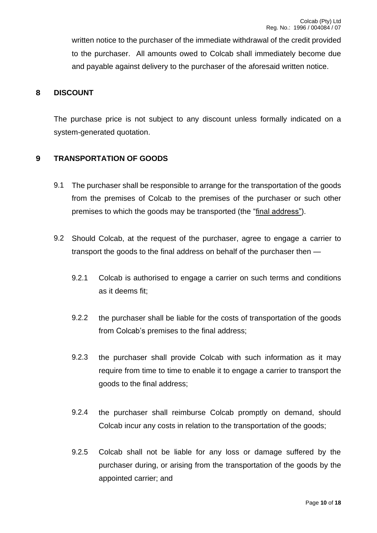written notice to the purchaser of the immediate withdrawal of the credit provided to the purchaser. All amounts owed to Colcab shall immediately become due and payable against delivery to the purchaser of the aforesaid written notice.

## **8 DISCOUNT**

The purchase price is not subject to any discount unless formally indicated on a system-generated quotation.

## **9 TRANSPORTATION OF GOODS**

- 9.1 The purchaser shall be responsible to arrange for the transportation of the goods from the premises of Colcab to the premises of the purchaser or such other premises to which the goods may be transported (the "final address").
- 9.2 Should Colcab, at the request of the purchaser, agree to engage a carrier to transport the goods to the final address on behalf of the purchaser then —
	- 9.2.1 Colcab is authorised to engage a carrier on such terms and conditions as it deems fit;
	- 9.2.2 the purchaser shall be liable for the costs of transportation of the goods from Colcab's premises to the final address;
	- 9.2.3 the purchaser shall provide Colcab with such information as it may require from time to time to enable it to engage a carrier to transport the goods to the final address;
	- 9.2.4 the purchaser shall reimburse Colcab promptly on demand, should Colcab incur any costs in relation to the transportation of the goods;
	- 9.2.5 Colcab shall not be liable for any loss or damage suffered by the purchaser during, or arising from the transportation of the goods by the appointed carrier; and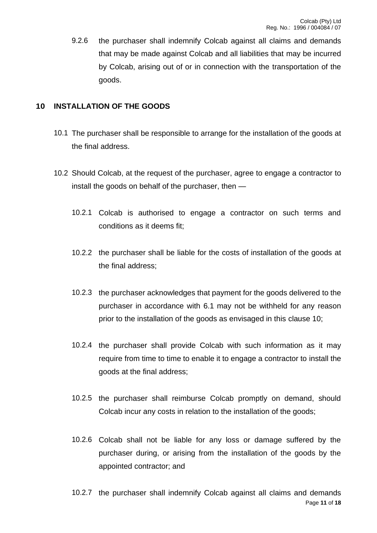9.2.6 the purchaser shall indemnify Colcab against all claims and demands that may be made against Colcab and all liabilities that may be incurred by Colcab, arising out of or in connection with the transportation of the goods.

# **10 INSTALLATION OF THE GOODS**

- 10.1 The purchaser shall be responsible to arrange for the installation of the goods at the final address.
- 10.2 Should Colcab, at the request of the purchaser, agree to engage a contractor to install the goods on behalf of the purchaser, then —
	- 10.2.1 Colcab is authorised to engage a contractor on such terms and conditions as it deems fit;
	- 10.2.2 the purchaser shall be liable for the costs of installation of the goods at the final address;
	- 10.2.3 the purchaser acknowledges that payment for the goods delivered to the purchaser in accordance with 6.1 may not be withheld for any reason prior to the installation of the goods as envisaged in this clause 10;
	- 10.2.4 the purchaser shall provide Colcab with such information as it may require from time to time to enable it to engage a contractor to install the goods at the final address;
	- 10.2.5 the purchaser shall reimburse Colcab promptly on demand, should Colcab incur any costs in relation to the installation of the goods;
	- 10.2.6 Colcab shall not be liable for any loss or damage suffered by the purchaser during, or arising from the installation of the goods by the appointed contractor; and
	- Page **11** of **18** 10.2.7 the purchaser shall indemnify Colcab against all claims and demands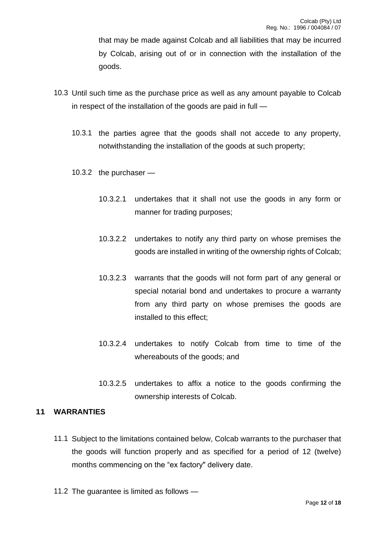that may be made against Colcab and all liabilities that may be incurred by Colcab, arising out of or in connection with the installation of the goods.

- 10.3 Until such time as the purchase price as well as any amount payable to Colcab in respect of the installation of the goods are paid in full —
	- 10.3.1 the parties agree that the goods shall not accede to any property, notwithstanding the installation of the goods at such property;
	- 10.3.2 the purchaser
		- 10.3.2.1 undertakes that it shall not use the goods in any form or manner for trading purposes;
		- 10.3.2.2 undertakes to notify any third party on whose premises the goods are installed in writing of the ownership rights of Colcab;
		- 10.3.2.3 warrants that the goods will not form part of any general or special notarial bond and undertakes to procure a warranty from any third party on whose premises the goods are installed to this effect;
		- 10.3.2.4 undertakes to notify Colcab from time to time of the whereabouts of the goods; and
		- 10.3.2.5 undertakes to affix a notice to the goods confirming the ownership interests of Colcab.

## **11 WARRANTIES**

- 11.1 Subject to the limitations contained below, Colcab warrants to the purchaser that the goods will function properly and as specified for a period of 12 (twelve) months commencing on the "ex factory" delivery date.
- 11.2 The guarantee is limited as follows —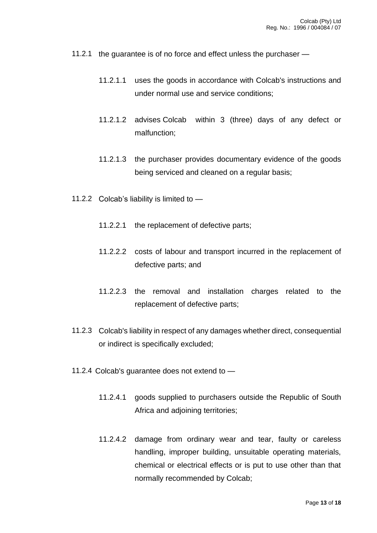- 11.2.1 the guarantee is of no force and effect unless the purchaser
	- 11.2.1.1 uses the goods in accordance with Colcab's instructions and under normal use and service conditions;
	- 11.2.1.2 advises Colcab within 3 (three) days of any defect or malfunction;
	- 11.2.1.3 the purchaser provides documentary evidence of the goods being serviced and cleaned on a regular basis;
- 11.2.2 Colcab's liability is limited to
	- 11.2.2.1 the replacement of defective parts;
	- 11.2.2.2 costs of labour and transport incurred in the replacement of defective parts; and
	- 11.2.2.3 the removal and installation charges related to the replacement of defective parts;
- 11.2.3 Colcab's liability in respect of any damages whether direct, consequential or indirect is specifically excluded;
- 11.2.4 Colcab's guarantee does not extend to
	- 11.2.4.1 goods supplied to purchasers outside the Republic of South Africa and adjoining territories;
	- 11.2.4.2 damage from ordinary wear and tear, faulty or careless handling, improper building, unsuitable operating materials, chemical or electrical effects or is put to use other than that normally recommended by Colcab;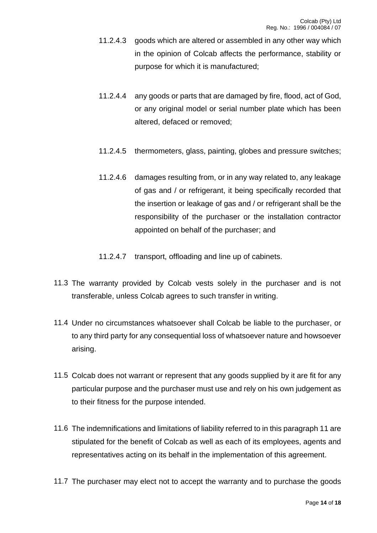- 11.2.4.3 goods which are altered or assembled in any other way which in the opinion of Colcab affects the performance, stability or purpose for which it is manufactured;
- 11.2.4.4 any goods or parts that are damaged by fire, flood, act of God, or any original model or serial number plate which has been altered, defaced or removed;
- 11.2.4.5 thermometers, glass, painting, globes and pressure switches;
- 11.2.4.6 damages resulting from, or in any way related to, any leakage of gas and / or refrigerant, it being specifically recorded that the insertion or leakage of gas and / or refrigerant shall be the responsibility of the purchaser or the installation contractor appointed on behalf of the purchaser; and
- 11.2.4.7 transport, offloading and line up of cabinets.
- 11.3 The warranty provided by Colcab vests solely in the purchaser and is not transferable, unless Colcab agrees to such transfer in writing.
- 11.4 Under no circumstances whatsoever shall Colcab be liable to the purchaser, or to any third party for any consequential loss of whatsoever nature and howsoever arising.
- 11.5 Colcab does not warrant or represent that any goods supplied by it are fit for any particular purpose and the purchaser must use and rely on his own judgement as to their fitness for the purpose intended.
- 11.6 The indemnifications and limitations of liability referred to in this paragraph 11 are stipulated for the benefit of Colcab as well as each of its employees, agents and representatives acting on its behalf in the implementation of this agreement.
- 11.7 The purchaser may elect not to accept the warranty and to purchase the goods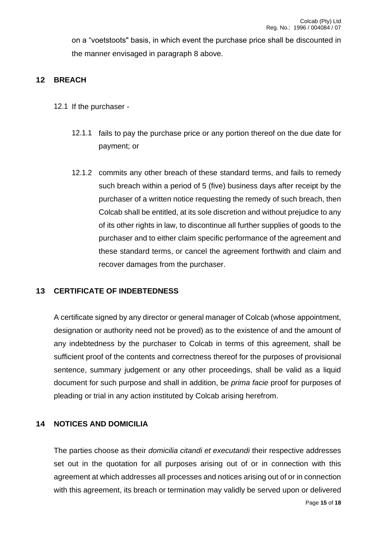on a "voetstoots" basis, in which event the purchase price shall be discounted in the manner envisaged in paragraph 8 above.

# **12 BREACH**

- 12.1 If the purchaser
	- 12.1.1 fails to pay the purchase price or any portion thereof on the due date for payment; or
	- 12.1.2 commits any other breach of these standard terms, and fails to remedy such breach within a period of 5 (five) business days after receipt by the purchaser of a written notice requesting the remedy of such breach, then Colcab shall be entitled, at its sole discretion and without prejudice to any of its other rights in law, to discontinue all further supplies of goods to the purchaser and to either claim specific performance of the agreement and these standard terms, or cancel the agreement forthwith and claim and recover damages from the purchaser.

#### **13 CERTIFICATE OF INDEBTEDNESS**

A certificate signed by any director or general manager of Colcab (whose appointment, designation or authority need not be proved) as to the existence of and the amount of any indebtedness by the purchaser to Colcab in terms of this agreement, shall be sufficient proof of the contents and correctness thereof for the purposes of provisional sentence, summary judgement or any other proceedings, shall be valid as a liquid document for such purpose and shall in addition, be *prima facie* proof for purposes of pleading or trial in any action instituted by Colcab arising herefrom.

#### **14 NOTICES AND DOMICILIA**

The parties choose as their *domicilia citandi et executandi* their respective addresses set out in the quotation for all purposes arising out of or in connection with this agreement at which addresses all processes and notices arising out of or in connection with this agreement, its breach or termination may validly be served upon or delivered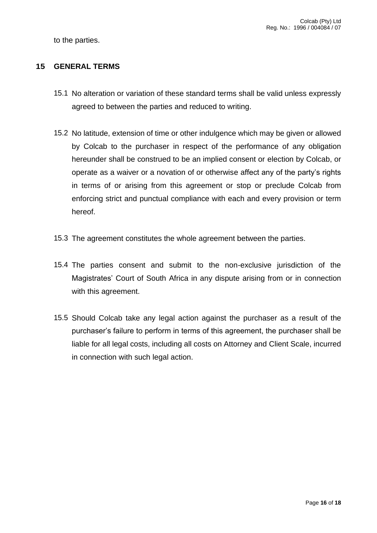to the parties.

#### **15 GENERAL TERMS**

- 15.1 No alteration or variation of these standard terms shall be valid unless expressly agreed to between the parties and reduced to writing.
- 15.2 No latitude, extension of time or other indulgence which may be given or allowed by Colcab to the purchaser in respect of the performance of any obligation hereunder shall be construed to be an implied consent or election by Colcab, or operate as a waiver or a novation of or otherwise affect any of the party's rights in terms of or arising from this agreement or stop or preclude Colcab from enforcing strict and punctual compliance with each and every provision or term hereof.
- 15.3 The agreement constitutes the whole agreement between the parties.
- 15.4 The parties consent and submit to the non-exclusive jurisdiction of the Magistrates' Court of South Africa in any dispute arising from or in connection with this agreement.
- 15.5 Should Colcab take any legal action against the purchaser as a result of the purchaser's failure to perform in terms of this agreement, the purchaser shall be liable for all legal costs, including all costs on Attorney and Client Scale, incurred in connection with such legal action.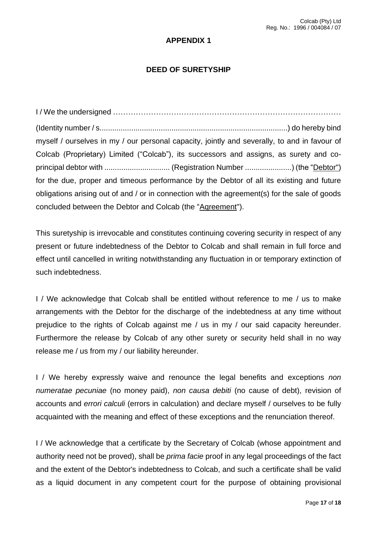#### **APPENDIX 1**

#### **DEED OF SURETYSHIP**

I / We the undersigned ……………………………………………………………………………… (Identity number / s.........................................................................................) do hereby bind myself / ourselves in my / our personal capacity, jointly and severally, to and in favour of Colcab (Proprietary) Limited ("Colcab"), its successors and assigns, as surety and coprincipal debtor with ............................... (Registration Number ......................) (the "Debtor") for the due, proper and timeous performance by the Debtor of all its existing and future obligations arising out of and / or in connection with the agreement(s) for the sale of goods concluded between the Debtor and Colcab (the "Aqreement").

This suretyship is irrevocable and constitutes continuing covering security in respect of any present or future indebtedness of the Debtor to Colcab and shall remain in full force and effect until cancelled in writing notwithstanding any fluctuation in or temporary extinction of such indebtedness.

I / We acknowledge that Colcab shall be entitled without reference to me / us to make arrangements with the Debtor for the discharge of the indebtedness at any time without prejudice to the rights of Colcab against me / us in my / our said capacity hereunder. Furthermore the release by Colcab of any other surety or security held shall in no way release me / us from my / our liability hereunder.

I / We hereby expressly waive and renounce the legal benefits and exceptions *non numeratae pecuniae* (no money paid), *non causa debiti* (no cause of debt), revision of accounts and *errori calculi* (errors in calculation) and declare myself / ourselves to be fully acquainted with the meaning and effect of these exceptions and the renunciation thereof.

I / We acknowledge that a certificate by the Secretary of Colcab (whose appointment and authority need not be proved), shall be *prima facie* proof in any legal proceedings of the fact and the extent of the Debtor's indebtedness to Colcab, and such a certificate shall be valid as a liquid document in any competent court for the purpose of obtaining provisional